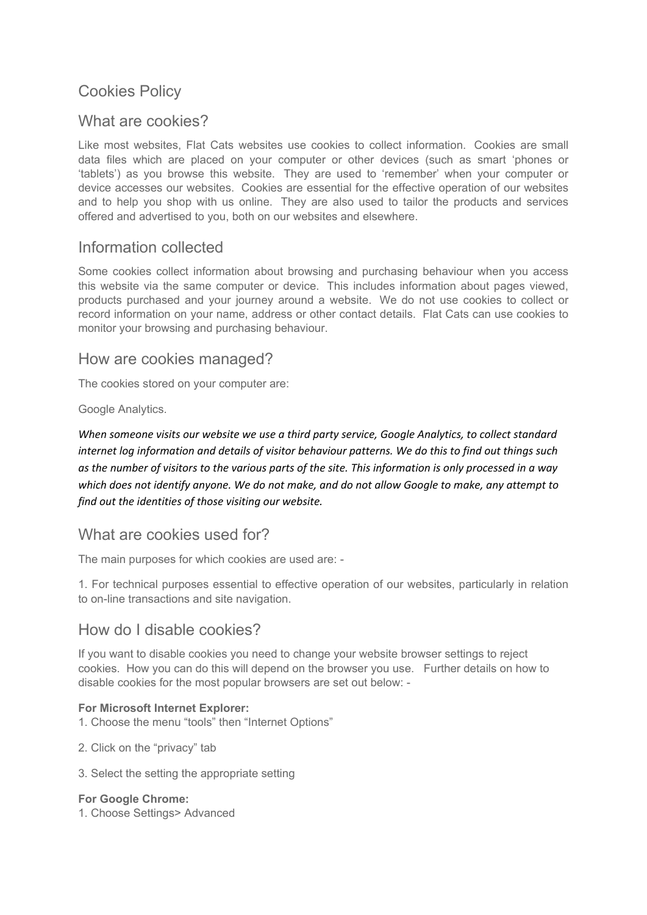# Cookies Policy

# What are cookies?

Like most websites, Flat Cats websites use cookies to collect information. Cookies are small data files which are placed on your computer or other devices (such as smart 'phones or 'tablets') as you browse this website. They are used to 'remember' when your computer or device accesses our websites. Cookies are essential for the effective operation of our websites and to help you shop with us online. They are also used to tailor the products and services offered and advertised to you, both on our websites and elsewhere.

# Information collected

Some cookies collect information about browsing and purchasing behaviour when you access this website via the same computer or device. This includes information about pages viewed, products purchased and your journey around a website. We do not use cookies to collect or record information on your name, address or other contact details. Flat Cats can use cookies to monitor your browsing and purchasing behaviour.

### How are cookies managed?

The cookies stored on your computer are:

Google Analytics.

*When someone visits our website we use a third party service, Google Analytics, to collect standard internet log information and details of visitor behaviour patterns. We do this to find out things such as the number of visitors to the various parts of the site. This information is only processed in a way which does not identify anyone. We do not make, and do not allow Google to make, any attempt to find out the identities of those visiting our website.* 

# What are cookies used for?

The main purposes for which cookies are used are: -

1. For technical purposes essential to effective operation of our websites, particularly in relation to on-line transactions and site navigation.

# How do I disable cookies?

If you want to disable cookies you need to change your website browser settings to reject cookies. How you can do this will depend on the browser you use. Further details on how to disable cookies for the most popular browsers are set out below: -

#### **For Microsoft Internet Explorer:**

- 1. Choose the menu "tools" then "Internet Options"
- 2. Click on the "privacy" tab
- 3. Select the setting the appropriate setting

#### **For Google Chrome:**

1. Choose Settings> Advanced